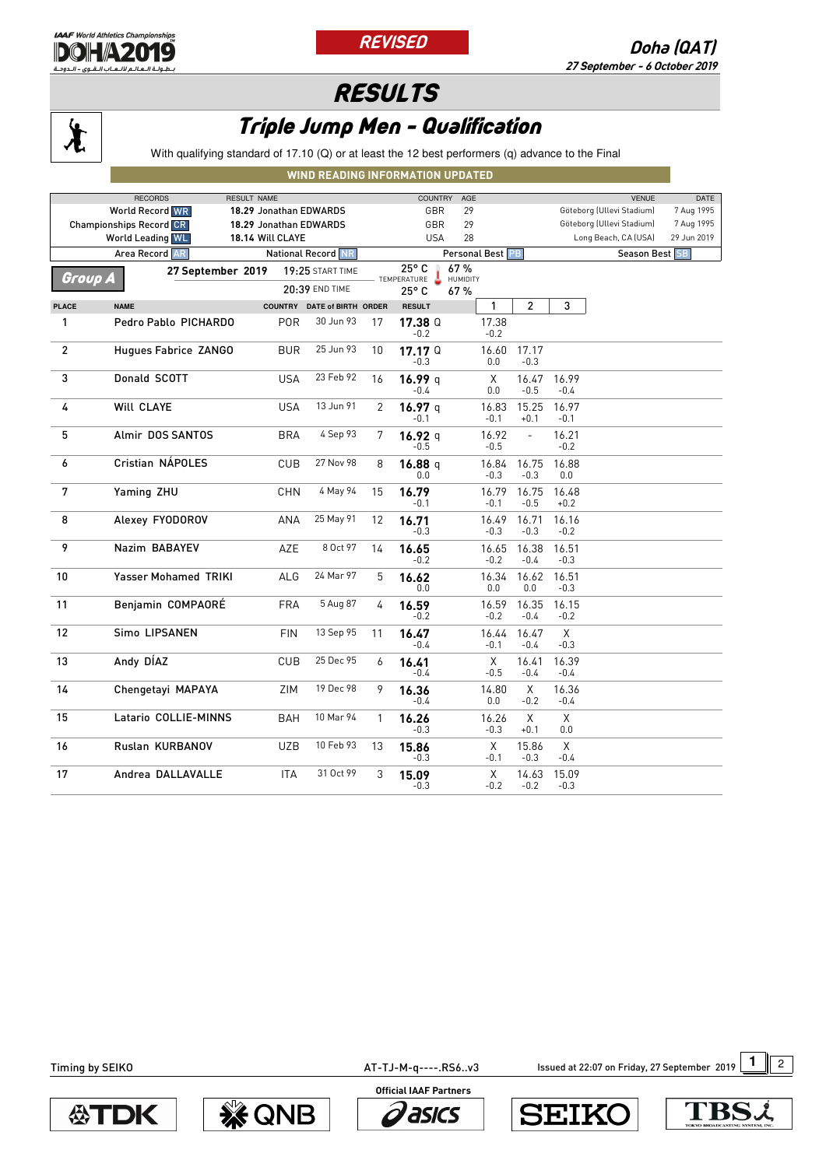

 $\chi$ 





## Triple Jump Men - Qualification

With qualifying standard of 17.10 (Q) or at least the 12 best performers (q) advance to the Final

## **WIND READING INFORMATION UPDATED**

| <b>RECORDS</b><br><b>RESULT NAME</b>        |                             |                        |                             | <b>COUNTRY</b><br>AGE |                                                     |     |                 | <b>VENUE</b><br>DATE      |                 |                           |             |
|---------------------------------------------|-----------------------------|------------------------|-----------------------------|-----------------------|-----------------------------------------------------|-----|-----------------|---------------------------|-----------------|---------------------------|-------------|
|                                             | <b>World Record WR</b>      | 18.29 Jonathan EDWARDS |                             |                       | GBR                                                 | 29  |                 |                           |                 | Göteborg (Ullevi Stadium) | 7 Aug 1995  |
| <b>Championships Record CR</b>              |                             |                        | 18.29 Jonathan EDWARDS      |                       | GBR<br>29                                           |     |                 | Göteborg (Ullevi Stadium) |                 | 7 Aug 1995                |             |
|                                             | <b>World Leading WL</b>     | 18.14 Will CLAYE       |                             |                       | <b>USA</b>                                          | 28  |                 |                           |                 | Long Beach, CA (USA)      | 29 Jun 2019 |
| Area Record AR<br><b>National Record NR</b> |                             |                        |                             | Personal Best PB      |                                                     |     |                 | Season Best SB            |                 |                           |             |
|                                             | 27 September 2019           |                        | 19:25 START TIME            |                       | 25°C                                                | 67% |                 |                           |                 |                           |             |
| Group A                                     |                             |                        | 20:39 END TIME              |                       | ÷<br><b>HUMIDITY</b><br>TEMPERATURE<br>25° C<br>67% |     |                 |                           |                 |                           |             |
| <b>PLACE</b>                                | <b>NAME</b>                 |                        | COUNTRY DATE of BIRTH ORDER |                       | <b>RESULT</b>                                       |     | 1               | $\overline{c}$            | 3               |                           |             |
| 1                                           | Pedro Pablo PICHARDO        | POR                    | 30 Jun 93                   | 17                    | 17.38 <sup>Q</sup><br>$-0.2$                        |     | 17.38<br>$-0.2$ |                           |                 |                           |             |
| $\overline{c}$                              | Hugues Fabrice ZANGO        | <b>BUR</b>             | 25 Jun 93                   | 10                    | 17.17 <sup>Q</sup><br>$-0.3$                        |     | 16.60<br>0.0    | 17.17<br>$-0.3$           |                 |                           |             |
| 3                                           | Donald SCOTT                | <b>USA</b>             | 23 Feb 92                   | 16                    | 16.99 q<br>$-0.4$                                   |     | X<br>0.0        | 16.47<br>$-0.5$           | 16.99<br>$-0.4$ |                           |             |
| 4                                           | Will CLAYE                  | <b>USA</b>             | 13 Jun 91                   | $\overline{2}$        | 16.97 q<br>$-0.1$                                   |     | 16.83<br>$-0.1$ | 15.25<br>$+0.1$           | 16.97<br>$-0.1$ |                           |             |
| 5                                           | Almir DOS SANTOS            | <b>BRA</b>             | 4 Sep 93                    | 7                     | 16.92 q<br>$-0.5$                                   |     | 16.92<br>$-0.5$ | $\frac{1}{2}$             | 16.21<br>$-0.2$ |                           |             |
| 6                                           | Cristian NÁPOLES            | CUB                    | 27 Nov 98                   | 8                     | 16.88 q<br>0.0                                      |     | 16.84<br>$-0.3$ | 16.75<br>$-0.3$           | 16.88<br>0.0    |                           |             |
| 7                                           | Yaming ZHU                  | <b>CHN</b>             | 4 May 94                    | 15                    | 16.79<br>-0.1                                       |     | 16.79<br>$-0.1$ | 16.75<br>$-0.5$           | 16.48<br>$+0.2$ |                           |             |
| 8                                           | Alexey FYODOROV             | ANA                    | 25 May 91                   | 12                    | 16.71<br>$-0.3$                                     |     | 16.49<br>$-0.3$ | 16.71<br>$-0.3$           | 16.16<br>$-0.2$ |                           |             |
| 9                                           | Nazim BABAYEV               | AZE                    | 8 Oct 97                    | 14                    | 16.65<br>-0.2                                       |     | 16.65<br>$-0.2$ | 16.38<br>$-0.4$           | 16.51<br>$-0.3$ |                           |             |
| 10                                          | <b>Yasser Mohamed TRIKI</b> | ALG                    | 24 Mar 97                   | 5                     | 16.62<br>0.0                                        |     | 16.34<br>0.0    | 16.62<br>0.0              | 16.51<br>$-0.3$ |                           |             |
| 11                                          | Benjamin COMPAORÉ           | <b>FRA</b>             | 5 Aug 87                    | 4                     | 16.59<br>$-0.2$                                     |     | 16.59<br>$-0.2$ | 16.35<br>$-0.4$           | 16.15<br>$-0.2$ |                           |             |
| 12                                          | Simo LIPSANEN               | <b>FIN</b>             | 13 Sep 95                   | 11                    | 16.47<br>-0.4                                       |     | 16.44<br>$-0.1$ | 16.47<br>$-0.4$           | X<br>$-0.3$     |                           |             |
| 13                                          | Andy DÍAZ                   | CUB                    | 25 Dec 95                   | 6                     | 16.41<br>$-0.4$                                     |     | X<br>$-0.5$     | 16.41<br>$-0.4$           | 16.39<br>$-0.4$ |                           |             |
| 14                                          | Chengetayi MAPAYA           | ZIM                    | 19 Dec 98                   | 9                     | 16.36<br>$-0.4$                                     |     | 14.80<br>0.0    | X<br>$-0.2$               | 16.36<br>$-0.4$ |                           |             |
| 15                                          | Latario COLLIE-MINNS        | BAH                    | 10 Mar 94                   | 1                     | 16.26<br>$-0.3$                                     |     | 16.26<br>$-0.3$ | X<br>$+0.1$               | X<br>0.0        |                           |             |
| 16                                          | Ruslan KURBANOV             | UZB                    | 10 Feb 93                   | 13                    | 15.86<br>-0.3                                       |     | X<br>$-0.1$     | 15.86<br>$-0.3$           | X<br>$-0.4$     |                           |             |
| 17                                          | Andrea DALLAVALLE           | <b>ITA</b>             | 31 Oct 99                   | 3                     | 15.09<br>$-0.3$                                     |     | X<br>$-0.2$     | 14.63<br>$-0.2$           | 15.09<br>$-0.3$ |                           |             |

AT-TJ-M-q----.RS6..v3 **1** Issued at 22:07 on Friday, 27 September 2019 1 2